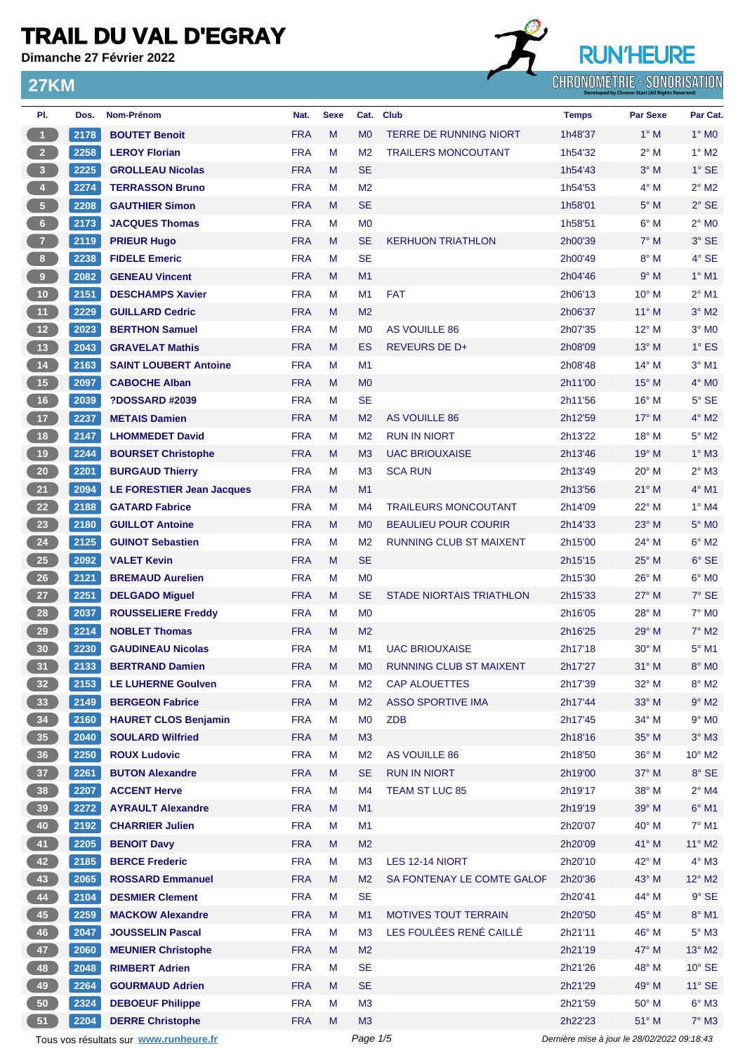**Dimanche 27 Février 2022**

**27KM**

# **RUN'HEURE CHRONOMÉTRIE - SONORISATION**

| PI.                     | Dos. | Nom-Prénom                             | Nat.       | <b>Sexe</b> |                | Cat. Club                       | <b>Temps</b>                                | <b>Par Sexe</b> | Par Cat.                 |
|-------------------------|------|----------------------------------------|------------|-------------|----------------|---------------------------------|---------------------------------------------|-----------------|--------------------------|
| $\overline{1}$          | 2178 | <b>BOUTET Benoit</b>                   | <b>FRA</b> | M           | M <sub>0</sub> | <b>TERRE DE RUNNING NIORT</b>   | 1h48'37                                     | $1^\circ$ M     | $1^\circ$ MO             |
| $\overline{2}$          | 2258 | <b>LEROY Florian</b>                   | <b>FRA</b> | M           | M <sub>2</sub> | <b>TRAILERS MONCOUTANT</b>      | 1h54'32                                     | $2^{\circ}$ M   | $1^\circ$ M2             |
| $\overline{\mathbf{3}}$ | 2225 | <b>GROLLEAU Nicolas</b>                | <b>FRA</b> | M           | <b>SE</b>      |                                 | 1h54'43                                     | $3^\circ$ M     | $1^\circ$ SE             |
| $\overline{4}$          | 2274 | <b>TERRASSON Bruno</b>                 | <b>FRA</b> | M           | M <sub>2</sub> |                                 | 1h54'53                                     | $4^\circ$ M     | $2^{\circ}$ M2           |
| $\sqrt{5}$              | 2208 | <b>GAUTHIER Simon</b>                  | <b>FRA</b> | M           | <b>SE</b>      |                                 | 1h58'01                                     | $5^\circ$ M     | $2°$ SE                  |
| $6\phantom{1}6$         | 2173 | <b>JACQUES Thomas</b>                  | <b>FRA</b> | M           | M <sub>0</sub> |                                 | 1h58'51                                     | $6^\circ$ M     | $2^{\circ}$ MO           |
| $\overline{7}$          | 2119 | <b>PRIEUR Hugo</b>                     | <b>FRA</b> | M           | <b>SE</b>      | <b>KERHUON TRIATHLON</b>        | 2h00'39                                     | $7^\circ$ M     | 3° SE                    |
| 8 <sup>1</sup>          | 2238 | <b>FIDELE Emeric</b>                   | <b>FRA</b> | M           | <b>SE</b>      |                                 | 2h00'49                                     | $8^\circ$ M     | $4°$ SE                  |
| $\overline{9}$          | 2082 | <b>GENEAU Vincent</b>                  | <b>FRA</b> | M           | M1             |                                 | 2h04'46                                     | 9° M            | $1°$ M1                  |
| 10                      | 2151 | <b>DESCHAMPS Xavier</b>                | <b>FRA</b> | M           | M <sub>1</sub> | <b>FAT</b>                      | 2h06'13                                     | $10^{\circ}$ M  | $2^{\circ}$ M1           |
| 11                      | 2229 | <b>GUILLARD Cedric</b>                 | <b>FRA</b> | M           | M <sub>2</sub> |                                 | 2h06'37                                     | $11^{\circ}$ M  | $3^\circ$ M2             |
| 12                      | 2023 | <b>BERTHON Samuel</b>                  | <b>FRA</b> | M           | M <sub>0</sub> | AS VOUILLE 86                   | 2h07'35                                     | $12^{\circ}$ M  | $3°$ MO                  |
| 13                      | 2043 | <b>GRAVELAT Mathis</b>                 | <b>FRA</b> | M           | <b>ES</b>      | <b>REVEURS DE D+</b>            | 2h08'09                                     | $13^{\circ}$ M  | $1^\circ$ ES             |
| $14$                    | 2163 | <b>SAINT LOUBERT Antoine</b>           | <b>FRA</b> | M           | M1             |                                 | 2h08'48                                     | $14^{\circ}$ M  | $3°$ M1                  |
| 15                      | 2097 | <b>CABOCHE Alban</b>                   | <b>FRA</b> | M           | M <sub>0</sub> |                                 | 2h11'00                                     | 15° M           | $4^\circ$ MO             |
| 16                      | 2039 | <b>?DOSSARD #2039</b>                  | <b>FRA</b> | M           | <b>SE</b>      |                                 | 2h11'56                                     | $16^{\circ}$ M  | $5^\circ$ SE             |
| 17                      | 2237 | <b>METAIS Damien</b>                   | <b>FRA</b> | M           | M <sub>2</sub> | AS VOUILLE 86                   | 2h12'59                                     | $17^\circ$ M    | 4° M2                    |
| 18                      | 2147 | <b>LHOMMEDET David</b>                 | <b>FRA</b> | M           | M <sub>2</sub> | <b>RUN IN NIORT</b>             | 2h13'22                                     | 18° M           | $5^\circ$ M2             |
| 19                      | 2244 | <b>BOURSET Christophe</b>              | <b>FRA</b> | M           | M <sub>3</sub> | <b>UAC BRIOUXAISE</b>           | 2h13'46                                     | $19°$ M         | $1^\circ$ M3             |
| 20                      | 2201 | <b>BURGAUD Thierry</b>                 | <b>FRA</b> | M           | M <sub>3</sub> | <b>SCA RUN</b>                  | 2h13'49                                     | $20^\circ$ M    | $2^{\circ}$ M3           |
| 21                      | 2094 | <b>LE FORESTIER Jean Jacques</b>       | <b>FRA</b> | M           | M1             |                                 | 2h13'56                                     | $21^{\circ}$ M  | $4°$ M1                  |
| 22                      | 2188 | <b>GATARD Fabrice</b>                  | <b>FRA</b> | M           | M4             | <b>TRAILEURS MONCOUTANT</b>     | 2h14'09                                     | $22^{\circ}$ M  | $1°$ M4                  |
| 23                      | 2180 | <b>GUILLOT Antoine</b>                 | <b>FRA</b> | M           | M <sub>0</sub> | <b>BEAULIEU POUR COURIR</b>     | 2h14'33                                     | $23^\circ$ M    | 5° M <sub>0</sub>        |
| 24                      | 2125 | <b>GUINOT Sebastien</b>                | <b>FRA</b> | M           | M <sub>2</sub> | <b>RUNNING CLUB ST MAIXENT</b>  | 2h15'00                                     | 24° M           | $6^{\circ}$ M2           |
| 25                      | 2092 | <b>VALET Kevin</b>                     | <b>FRA</b> | M           | <b>SE</b>      |                                 | 2h15'15                                     | 25° M           | 6° SE                    |
| 26                      | 2121 | <b>BREMAUD Aurelien</b>                | <b>FRA</b> | M           | M <sub>0</sub> |                                 | 2h15'30                                     | 26° M           | $6^\circ$ MO             |
| 27                      | 2251 | <b>DELGADO Miguel</b>                  | <b>FRA</b> | M           | <b>SE</b>      | <b>STADE NIORTAIS TRIATHLON</b> |                                             | $27^\circ$ M    | $7°$ SE                  |
| 28                      | 2037 | <b>ROUSSELIERE Freddy</b>              | <b>FRA</b> | M           | M <sub>0</sub> |                                 | 2h15'33<br>2h16'05                          | $28^{\circ}$ M  | $7^\circ$ M <sub>0</sub> |
| 29                      | 2214 | <b>NOBLET Thomas</b>                   | <b>FRA</b> | M           | M <sub>2</sub> |                                 | 2h16'25                                     | 29° M           | $7^\circ$ M2             |
|                         | 2230 |                                        | <b>FRA</b> | M           | M <sub>1</sub> | <b>UAC BRIOUXAISE</b>           | 2h17'18                                     | $30^\circ$ M    | $5^\circ$ M1             |
| 30 <sub>o</sub>         |      | <b>GAUDINEAU Nicolas</b>               |            |             |                |                                 |                                             |                 |                          |
| 31)                     | 2133 | <b>BERTRAND Damien</b>                 | <b>FRA</b> | M           | M <sub>0</sub> | RUNNING CLUB ST MAIXENT         | 2h17'27                                     | $31^\circ$ M    | 8° MO                    |
| 32 <sub>2</sub>         | 2153 | <b>LE LUHERNE Goulven</b>              | <b>FRA</b> | M           | M <sub>2</sub> | <b>CAP ALOUETTES</b>            | 2h17'39                                     | 32° M           | $8^\circ$ M2             |
| 33                      | 2149 | <b>BERGEON Fabrice</b>                 | <b>FRA</b> | M           | M <sub>2</sub> | <b>ASSO SPORTIVE IMA</b>        | 2h17'44                                     | 33° M           | $9^\circ$ M2             |
| 34                      | 2160 | <b>HAURET CLOS Benjamin</b>            | <b>FRA</b> | M           | M <sub>0</sub> | <b>ZDB</b>                      | 2h17'45                                     | 34° M           | $9°$ MO                  |
| 35                      | 2040 | <b>SOULARD Wilfried</b>                | <b>FRA</b> | M           | M <sub>3</sub> |                                 | 2h18'16                                     | 35° M           | $3^\circ$ M3             |
| 36                      | 2250 | <b>ROUX Ludovic</b>                    | <b>FRA</b> | M           | M <sub>2</sub> | <b>AS VOUILLE 86</b>            | 2h18'50                                     | 36° M           | $10^{\circ}$ M2          |
| 37                      | 2261 | <b>BUTON Alexandre</b>                 | <b>FRA</b> | M           | <b>SE</b>      | <b>RUN IN NIORT</b>             | 2h19'00                                     | 37° M           | 8° SE                    |
| 38                      | 2207 | <b>ACCENT Herve</b>                    | <b>FRA</b> | M           | M4             | TEAM ST LUC 85                  | 2h19'17                                     | 38° M           | $2^{\circ}$ M4           |
| 39                      | 2272 | <b>AYRAULT Alexandre</b>               | <b>FRA</b> | M           | M1             |                                 | 2h19'19                                     | 39° M           | $6^{\circ}$ M1           |
| 40                      | 2192 | <b>CHARRIER Julien</b>                 | <b>FRA</b> | M           | M1             |                                 | 2h20'07                                     | 40° M           | $7^\circ$ M1             |
| 41                      | 2205 | <b>BENOIT Davy</b>                     | <b>FRA</b> | M           | M <sub>2</sub> |                                 | 2h20'09                                     | 41° M           | $11^{\circ}$ M2          |
| 42                      | 2185 | <b>BERCE Frederic</b>                  | <b>FRA</b> | M           | M3             | LES 12-14 NIORT                 | 2h20'10                                     | 42° M           | $4^\circ$ M3             |
| 43                      | 2065 | <b>ROSSARD Emmanuel</b>                | <b>FRA</b> | M           | M <sub>2</sub> | SA FONTENAY LE COMTE GALOF      | 2h20'36                                     | 43° M           | $12^{\circ}$ M2          |
| 44                      | 2104 | <b>DESMIER Clement</b>                 | <b>FRA</b> | M           | <b>SE</b>      |                                 | 2h20'41                                     | 44° M           | $9°$ SE                  |
| 45                      | 2259 | <b>MACKOW Alexandre</b>                | <b>FRA</b> | M           | M1             | <b>MOTIVES TOUT TERRAIN</b>     | 2h20'50                                     | 45° M           | 8° M1                    |
| 46                      | 2047 | <b>JOUSSELIN Pascal</b>                | <b>FRA</b> | M           | M <sub>3</sub> | LES FOULÉES RENÉ CAILLÉ         | 2h21'11                                     | 46° M           | $5^\circ$ M3             |
| 47                      | 2060 | <b>MEUNIER Christophe</b>              | <b>FRA</b> | M           | M <sub>2</sub> |                                 | 2h21'19                                     | 47° M           | $13^\circ$ M2            |
| 48                      | 2048 | <b>RIMBERT Adrien</b>                  | <b>FRA</b> | M           | <b>SE</b>      |                                 | 2h21'26                                     | 48° M           | $10^{\circ}$ SE          |
| 49                      | 2264 | <b>GOURMAUD Adrien</b>                 | <b>FRA</b> | M           | <b>SE</b>      |                                 | 2h21'29                                     | 49° M           | $11^{\circ}$ SE          |
| 50                      | 2324 | <b>DEBOEUF Philippe</b>                | <b>FRA</b> | M           | M <sub>3</sub> |                                 | 2h21'59                                     | $50^\circ$ M    | $6^\circ$ M3             |
| 51                      | 2204 | <b>DERRE Christophe</b>                | <b>FRA</b> | M           | M <sub>3</sub> |                                 | 2h22'23                                     | 51° M           | $7^\circ$ M3             |
|                         |      | Tous vos résultats sur www.runheure.fr |            |             | Page 1/5       |                                 | Dernière mise à jour le 28/02/2022 09:18:43 |                 |                          |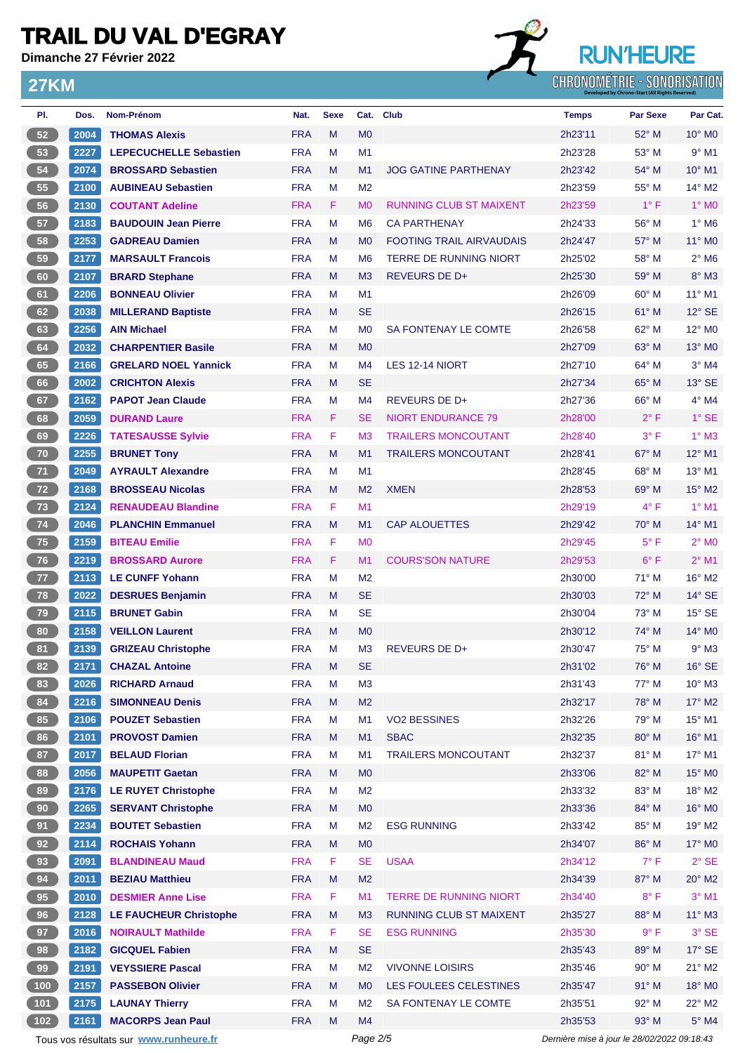**Dimanche 27 Février 2022**

**27KM**

## **RUN'HEURE** CHRONOMÉTRIE - SONORISATION

| PI.          | Dos. | <b>Nom-Prénom</b>             | Nat.       | <b>Sexe</b> |                | Cat. Club                       | <b>Temps</b> | <b>Par Sexe</b> | Par Cat.                    |
|--------------|------|-------------------------------|------------|-------------|----------------|---------------------------------|--------------|-----------------|-----------------------------|
| 52           | 2004 | <b>THOMAS Alexis</b>          | <b>FRA</b> | M           | M <sub>0</sub> |                                 | 2h23'11      | 52° M           | $10^{\circ}$ M <sub>0</sub> |
| 53           | 2227 | <b>LEPECUCHELLE Sebastien</b> | <b>FRA</b> | M           | M1             |                                 | 2h23'28      | 53° M           | $9°$ M1                     |
| 54           | 2074 | <b>BROSSARD Sebastien</b>     | <b>FRA</b> | M           | M1             | <b>JOG GATINE PARTHENAY</b>     | 2h23'42      | 54° M           | 10° M1                      |
| 55           | 2100 | <b>AUBINEAU Sebastien</b>     | <b>FRA</b> | M           | M <sub>2</sub> |                                 | 2h23'59      | 55° M           | $14^{\circ}$ M2             |
| 56           | 2130 | <b>COUTANT Adeline</b>        | <b>FRA</b> | F.          | M <sub>0</sub> | <b>RUNNING CLUB ST MAIXENT</b>  | 2h23'59      | $1^{\circ}$ F   | $1^\circ$ MO                |
| 57           | 2183 | <b>BAUDOUIN Jean Pierre</b>   | <b>FRA</b> | M           | M <sub>6</sub> | <b>CA PARTHENAY</b>             | 2h24'33      | 56° M           | $1^\circ$ M6                |
| 58           | 2253 | <b>GADREAU Damien</b>         | <b>FRA</b> | M           | M <sub>0</sub> | <b>FOOTING TRAIL AIRVAUDAIS</b> | 2h24'47      | 57° M           | 11° M <sub>0</sub>          |
| 59           | 2177 | <b>MARSAULT Francois</b>      | <b>FRA</b> | M           | M <sub>6</sub> | <b>TERRE DE RUNNING NIORT</b>   | 2h25'02      | 58° M           | $2^{\circ}$ M <sub>6</sub>  |
| 60           | 2107 | <b>BRARD Stephane</b>         | <b>FRA</b> | M           | M <sub>3</sub> | <b>REVEURS DE D+</b>            | 2h25'30      | 59° M           | 8° M3                       |
| 61           | 2206 | <b>BONNEAU Olivier</b>        | <b>FRA</b> | M           | M <sub>1</sub> |                                 | 2h26'09      | $60^\circ$ M    | $11^{\circ}$ M1             |
| 62           | 2038 | <b>MILLERAND Baptiste</b>     | <b>FRA</b> | M           | <b>SE</b>      |                                 | 2h26'15      | $61^\circ$ M    | $12^{\circ}$ SE             |
| 63           | 2256 | <b>AIN Michael</b>            | <b>FRA</b> | M           | M <sub>0</sub> | SA FONTENAY LE COMTE            | 2h26'58      | $62^{\circ}$ M  | 12° M <sub>0</sub>          |
| 64           | 2032 | <b>CHARPENTIER Basile</b>     | <b>FRA</b> | M           | M <sub>0</sub> |                                 | 2h27'09      | 63° M           | 13° MO                      |
| 65           | 2166 | <b>GRELARD NOEL Yannick</b>   | <b>FRA</b> | M           | M <sub>4</sub> | LES 12-14 NIORT                 | 2h27'10      | 64° M           | $3^\circ$ M4                |
| 66           | 2002 | <b>CRICHTON Alexis</b>        | <b>FRA</b> | M           | <b>SE</b>      |                                 | 2h27'34      | $65^\circ$ M    | $13^\circ$ SE               |
| 67           | 2162 | <b>PAPOT Jean Claude</b>      | <b>FRA</b> | M           | M <sub>4</sub> | <b>REVEURS DE D+</b>            | 2h27'36      | 66° M           | $4^\circ$ M4                |
| 68           | 2059 | <b>DURAND Laure</b>           | <b>FRA</b> | F           | <b>SE</b>      | <b>NIORT ENDURANCE 79</b>       | 2h28'00      | $2^{\circ}$ F   | $1^\circ$ SE                |
| 69           | 2226 | <b>TATESAUSSE Sylvie</b>      | <b>FRA</b> | F           | M <sub>3</sub> | <b>TRAILERS MONCOUTANT</b>      | 2h28'40      | $3^{\circ}$ F   | $1^\circ$ M3                |
| 70           | 2255 | <b>BRUNET Tony</b>            | <b>FRA</b> | M           | M <sub>1</sub> | <b>TRAILERS MONCOUTANT</b>      | 2h28'41      | $67^\circ$ M    | $12^{\circ}$ M1             |
| 71           | 2049 | <b>AYRAULT Alexandre</b>      | <b>FRA</b> | M           | M1             |                                 | 2h28'45      | 68° M           | $13^{\circ}$ M1             |
| 72           | 2168 | <b>BROSSEAU Nicolas</b>       | <b>FRA</b> | M           | M <sub>2</sub> | <b>XMEN</b>                     | 2h28'53      | $69^\circ$ M    | $15^\circ$ M2               |
| 73           | 2124 | <b>RENAUDEAU Blandine</b>     | <b>FRA</b> | F           | M <sub>1</sub> |                                 | 2h29'19      | $4^{\circ}$ F   | $1^\circ$ M1                |
| 74           | 2046 | <b>PLANCHIN Emmanuel</b>      | <b>FRA</b> | M           | M1             | <b>CAP ALOUETTES</b>            | 2h29'42      | $70^\circ$ M    | $14^{\circ}$ M1             |
| 75           | 2159 | <b>BITEAU Emilie</b>          | <b>FRA</b> | F           | M <sub>0</sub> |                                 | 2h29'45      | $5^{\circ}$ F   | $2^{\circ}$ MO              |
| 76           | 2219 | <b>BROSSARD Aurore</b>        | <b>FRA</b> | F.          | M <sub>1</sub> | <b>COURS'SON NATURE</b>         | 2h29'53      | $6^\circ$ F     | $2°$ M1                     |
| 77           | 2113 | <b>LE CUNFF Yohann</b>        | <b>FRA</b> | M           | M <sub>2</sub> |                                 | 2h30'00      | $71^\circ$ M    | $16^{\circ}$ M2             |
| $78$         | 2022 | <b>DESRUES Benjamin</b>       | <b>FRA</b> | M           | <b>SE</b>      |                                 | 2h30'03      | $72^\circ$ M    | $14^{\circ}$ SE             |
| 79           | 2115 | <b>BRUNET Gabin</b>           | <b>FRA</b> | м           | <b>SE</b>      |                                 | 2h30'04      | $73^\circ$ M    | $15^\circ$ SE               |
| 80           | 2158 | <b>VEILLON Laurent</b>        | <b>FRA</b> | M           | M <sub>0</sub> |                                 | 2h30'12      | 74° M           | 14° M0                      |
| 81           | 2139 | <b>GRIZEAU Christophe</b>     | <b>FRA</b> | м           | M <sub>3</sub> | <b>REVEURS DE D+</b>            | 2h30'47      | $75^{\circ}$ M  | $9°$ M <sub>3</sub>         |
| 82           | 2171 | <b>CHAZAL Antoine</b>         | <b>FRA</b> | M           | <b>SE</b>      |                                 | 2h31'02      | 76° M           | $16^\circ$ SE               |
| 83           | 2026 | <b>RICHARD Arnaud</b>         | <b>FRA</b> | M           | M3             |                                 | 2h31'43      | 77° M           | $10^{\circ}$ M3             |
| 84           | 2216 | <b>SIMONNEAU Denis</b>        | <b>FRA</b> | M           | M <sub>2</sub> |                                 | 2h32'17      | 78° M           | $17^\circ$ M2               |
| 85           | 2106 | <b>POUZET Sebastien</b>       | <b>FRA</b> | М           | M <sub>1</sub> | <b>VO2 BESSINES</b>             | 2h32'26      | 79° M           | 15° M1                      |
| 86           | 2101 | <b>PROVOST Damien</b>         | <b>FRA</b> | M           | M1             | <b>SBAC</b>                     | 2h32'35      | 80° M           | 16° M1                      |
| 87           | 2017 | <b>BELAUD Florian</b>         | <b>FRA</b> | M           | M <sub>1</sub> | <b>TRAILERS MONCOUTANT</b>      | 2h32'37      | 81° M           | 17° M1                      |
| 88           | 2056 | <b>MAUPETIT Gaetan</b>        | <b>FRA</b> | M           | M <sub>0</sub> |                                 | 2h33'06      | 82° M           | 15° MO                      |
| 89           | 2176 | <b>LE RUYET Christophe</b>    | <b>FRA</b> | М           | M <sub>2</sub> |                                 | 2h33'32      | 83° M           | $18^\circ$ M2               |
| 90           | 2265 | <b>SERVANT Christophe</b>     | <b>FRA</b> | M           | M <sub>0</sub> |                                 | 2h33'36      | 84° M           | $16^\circ$ MO               |
| 91           | 2234 | <b>BOUTET Sebastien</b>       | <b>FRA</b> | M           | M <sub>2</sub> | <b>ESG RUNNING</b>              | 2h33'42      | 85° M           | 19° M2                      |
| 92           | 2114 | <b>ROCHAIS Yohann</b>         | <b>FRA</b> | M           | M <sub>0</sub> |                                 | 2h34'07      | $86^\circ$ M    | $17^\circ$ MO               |
| 93           | 2091 | <b>BLANDINEAU Maud</b>        | <b>FRA</b> | F           | <b>SE</b>      | <b>USAA</b>                     | 2h34'12      | $7^{\circ}$ F   | $2°$ SE                     |
| 94           | 2011 | <b>BEZIAU Matthieu</b>        | <b>FRA</b> | M           | M <sub>2</sub> |                                 | 2h34'39      | 87° M           | $20^\circ$ M2               |
| 95           | 2010 | <b>DESMIER Anne Lise</b>      | <b>FRA</b> | F           | M <sub>1</sub> | <b>TERRE DE RUNNING NIORT</b>   | 2h34'40      | $8^{\circ}$ F   | $3°$ M1                     |
| 96           | 2128 | <b>LE FAUCHEUR Christophe</b> | <b>FRA</b> | M           | M <sub>3</sub> | RUNNING CLUB ST MAIXENT         | 2h35'27      | 88° M           | 11° M3                      |
| 97           | 2016 | <b>NOIRAULT Mathilde</b>      | <b>FRA</b> | F           | <b>SE</b>      | <b>ESG RUNNING</b>              | 2h35'30      | $9^{\circ}$ F   | $3^\circ$ SE                |
| 98           | 2182 | <b>GICQUEL Fabien</b>         | <b>FRA</b> | M           | <b>SE</b>      |                                 | 2h35'43      | 89° M           | $17^\circ$ SE               |
| 99           | 2191 | <b>VEYSSIERE Pascal</b>       | <b>FRA</b> | М           | M <sub>2</sub> | <b>VIVONNE LOISIRS</b>          | 2h35'46      | $90^{\circ}$ M  | $21^{\circ}$ M2             |
| $\sqrt{100}$ | 2157 | <b>PASSEBON Olivier</b>       | <b>FRA</b> | M           | M <sub>0</sub> | LES FOULEES CELESTINES          | 2h35'47      | $91°$ M         | $18^\circ$ MO               |
| $\sqrt{101}$ | 2175 | <b>LAUNAY Thierry</b>         | <b>FRA</b> | М           | M <sub>2</sub> | SA FONTENAY LE COMTE            | 2h35'51      | 92° M           | 22° M2                      |
| (102)        | 2161 | <b>MACORPS Jean Paul</b>      | <b>FRA</b> | M           | M4             |                                 | 2h35'53      | 93° M           | 5° M4                       |

Tous vos résultats sur **[www.runheure.fr](https://www.runheure.fr/)** entre extendies entre Page 2/5 Dernière mise à jour le 28/02/2022 09:18:43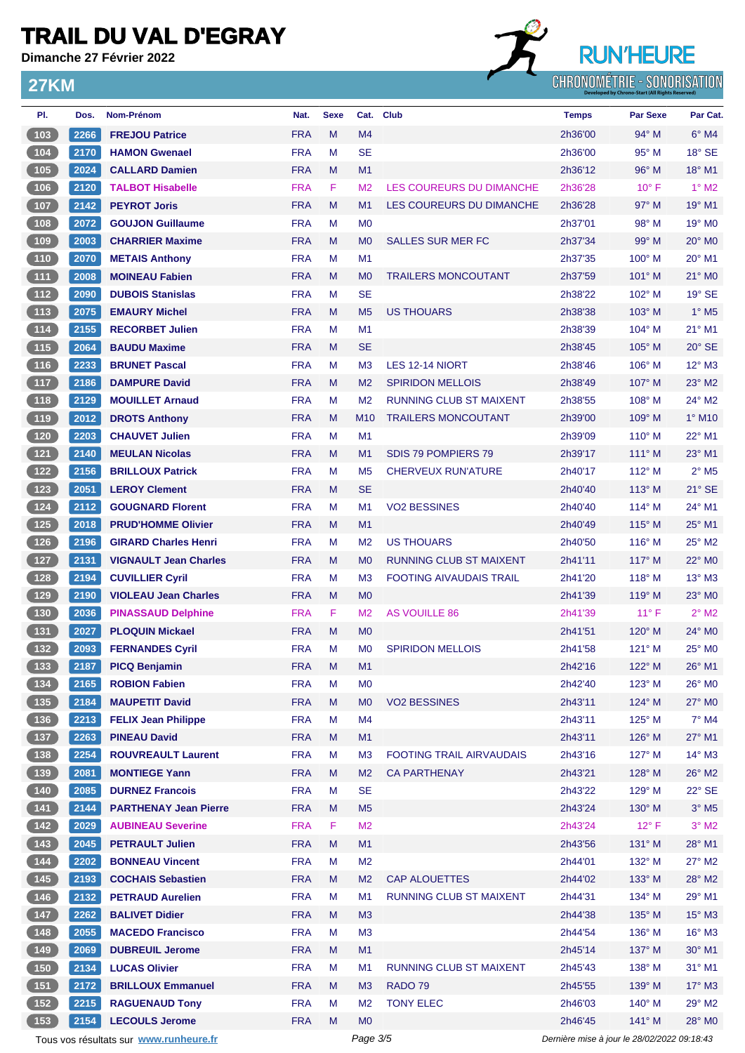**Dimanche 27 Février 2022**

**27KM**

## **RUN'HEURE CHRONOMÉTRIE - SONORISATION**

| PI.                                                             | Dos. | <b>Nom-Prénom</b>                      | Nat.       | <b>Sexe</b> |                 | Cat. Club                       | <b>Temps</b>                                | <b>Par Sexe</b> | Par Cat.                   |
|-----------------------------------------------------------------|------|----------------------------------------|------------|-------------|-----------------|---------------------------------|---------------------------------------------|-----------------|----------------------------|
| 103                                                             | 2266 | <b>FREJOU Patrice</b>                  | <b>FRA</b> | M           | M4              |                                 | 2h36'00                                     | 94° M           | $6^\circ$ M4               |
| $104$                                                           | 2170 | <b>HAMON Gwenael</b>                   | <b>FRA</b> | м           | <b>SE</b>       |                                 | 2h36'00                                     | $95^\circ$ M    | $18^\circ$ SE              |
| (105)                                                           | 2024 | <b>CALLARD Damien</b>                  | <b>FRA</b> | M           | M1              |                                 | 2h36'12                                     | $96^\circ$ M    | 18° M1                     |
| 106                                                             | 2120 | <b>TALBOT Hisabelle</b>                | <b>FRA</b> | F           | M <sub>2</sub>  | LES COUREURS DU DIMANCHE        | 2h36'28                                     | $10^{\circ}$ F  | $1^\circ$ M2               |
| $\sqrt{107}$                                                    | 2142 | <b>PEYROT Joris</b>                    | <b>FRA</b> | M           | M <sub>1</sub>  | LES COUREURS DU DIMANCHE        | 2h36'28                                     | $97^\circ$ M    | 19° M1                     |
| $\begin{array}{c} \begin{array}{c} 108 \end{array} \end{array}$ | 2072 | <b>GOUJON Guillaume</b>                | <b>FRA</b> | М           | M <sub>0</sub>  |                                 | 2h37'01                                     | $98^\circ$ M    | 19° M <sub>0</sub>         |
| $\sqrt{109}$                                                    | 2003 | <b>CHARRIER Maxime</b>                 | <b>FRA</b> | M           | M <sub>0</sub>  | <b>SALLES SUR MER FC</b>        | 2h37'34                                     | 99° M           | $20^\circ$ M <sub>0</sub>  |
| $\begin{array}{c} \n \textbf{110} \\ \end{array}$               | 2070 | <b>METAIS Anthony</b>                  | <b>FRA</b> | м           | M1              |                                 | 2h37'35                                     | $100^\circ$ M   | 20° M1                     |
| (111)                                                           | 2008 | <b>MOINEAU Fabien</b>                  | <b>FRA</b> | M           | M <sub>0</sub>  | <b>TRAILERS MONCOUTANT</b>      | 2h37'59                                     | $101^\circ$ M   | $21^\circ$ MO              |
| (112)                                                           | 2090 | <b>DUBOIS Stanislas</b>                | <b>FRA</b> | м           | <b>SE</b>       |                                 | 2h38'22                                     | $102^\circ$ M   | $19^\circ$ SE              |
| (113)                                                           | 2075 | <b>EMAURY Michel</b>                   | <b>FRA</b> | M           | M <sub>5</sub>  | <b>US THOUARS</b>               | 2h38'38                                     | $103^\circ$ M   | $1^\circ$ M <sub>5</sub>   |
| $\begin{array}{c} \n \text{114}\n \end{array}$                  | 2155 | <b>RECORBET Julien</b>                 | <b>FRA</b> | M           | M <sub>1</sub>  |                                 | 2h38'39                                     | $104^\circ$ M   | $21^{\circ}$ M1            |
| (115)                                                           | 2064 | <b>BAUDU Maxime</b>                    | <b>FRA</b> | M           | <b>SE</b>       |                                 | 2h38'45                                     | $105^\circ$ M   | $20^\circ$ SE              |
| $116$                                                           | 2233 | <b>BRUNET Pascal</b>                   | <b>FRA</b> | M           | M <sub>3</sub>  | LES 12-14 NIORT                 | 2h38'46                                     | $106^\circ$ M   | 12° M3                     |
| (117)                                                           | 2186 | <b>DAMPURE David</b>                   | <b>FRA</b> | M           | M <sub>2</sub>  | <b>SPIRIDON MELLOIS</b>         | 2h38'49                                     | $107^\circ$ M   | $23^\circ$ M2              |
| (118)                                                           | 2129 | <b>MOUILLET Arnaud</b>                 | <b>FRA</b> | м           | M <sub>2</sub>  | <b>RUNNING CLUB ST MAIXENT</b>  | 2h38'55                                     | $108^\circ$ M   | 24° M2                     |
| (119)                                                           | 2012 | <b>DROTS Anthony</b>                   | <b>FRA</b> | M           | M <sub>10</sub> | <b>TRAILERS MONCOUTANT</b>      | 2h39'00                                     | 109° M          | $1^\circ$ M <sub>10</sub>  |
| $120$                                                           | 2203 | <b>CHAUVET Julien</b>                  | <b>FRA</b> | М           | M <sub>1</sub>  |                                 | 2h39'09                                     | $110^{\circ}$ M | 22° M1                     |
| (121)                                                           | 2140 | <b>MEULAN Nicolas</b>                  | <b>FRA</b> | M           | M <sub>1</sub>  | SDIS 79 POMPIERS 79             | 2h39'17                                     | $111^\circ$ M   | 23° M1                     |
| $\boxed{122}$                                                   | 2156 | <b>BRILLOUX Patrick</b>                | <b>FRA</b> | M           | M <sub>5</sub>  | <b>CHERVEUX RUN'ATURE</b>       | 2h40'17                                     | $112^\circ$ M   | $2^{\circ}$ M <sub>5</sub> |
| (123)                                                           | 2051 | <b>LEROY Clement</b>                   | <b>FRA</b> | M           | <b>SE</b>       |                                 | 2h40'40                                     | $113^\circ$ M   | $21^\circ$ SE              |
| $124$                                                           | 2112 | <b>GOUGNARD Florent</b>                | <b>FRA</b> | M           | M <sub>1</sub>  | <b>VO2 BESSINES</b>             | 2h40'40                                     | $114^\circ$ M   | 24° M1                     |
| 125                                                             | 2018 | <b>PRUD'HOMME Olivier</b>              | <b>FRA</b> | M           |                 |                                 |                                             | $115^\circ$ M   | 25° M1                     |
|                                                                 |      |                                        |            |             | M <sub>1</sub>  |                                 | 2h40'49                                     |                 |                            |
| $126$                                                           | 2196 | <b>GIRARD Charles Henri</b>            | <b>FRA</b> | м           | M <sub>2</sub>  | <b>US THOUARS</b>               | 2h40'50                                     | $116^\circ$ M   | $25^{\circ}$ M2            |
| (127)                                                           | 2131 | <b>VIGNAULT Jean Charles</b>           | <b>FRA</b> | M           | M <sub>0</sub>  | <b>RUNNING CLUB ST MAIXENT</b>  | 2h41'11                                     | $117^\circ$ M   | $22^{\circ}$ MO            |
| $128$                                                           | 2194 | <b>CUVILLIER Cyril</b>                 | <b>FRA</b> | М           | M <sub>3</sub>  | <b>FOOTING AIVAUDAIS TRAIL</b>  | 2h41'20                                     | $118^\circ$ M   | $13^\circ$ M3              |
| (129)                                                           | 2190 | <b>VIOLEAU Jean Charles</b>            | <b>FRA</b> | M           | M <sub>0</sub>  |                                 | 2h41'39                                     | $119^\circ$ M   | $23^\circ$ MO              |
| $(130)$                                                         | 2036 | <b>PINASSAUD Delphine</b>              | <b>FRA</b> | F           | M <sub>2</sub>  | AS VOUILLE 86                   | 2h41'39                                     | $11^{\circ}$ F  | $2^{\circ}$ M <sub>2</sub> |
| (131)                                                           | 2027 | <b>PLOQUIN Mickael</b>                 | <b>FRA</b> | M           | M <sub>0</sub>  |                                 | 2h41'51                                     | 120° M          | 24° M0                     |
| (132)                                                           | 2093 | <b>FERNANDES Cyril</b>                 | <b>FRA</b> | M           | M <sub>0</sub>  | <b>SPIRIDON MELLOIS</b>         | 2h41'58                                     | 121° M          | $25^\circ$ MO              |
| $\begin{array}{ c c }\n\hline\n\textbf{133}\n\end{array}$       | 2187 | <b>PICQ Benjamin</b>                   | <b>FRA</b> | M           | M1              |                                 | 2h42'16                                     | $122^\circ$ M   | $26^\circ$ M1              |
| (134)                                                           | 2165 | <b>ROBION Fabien</b>                   | <b>FRA</b> | M           | M <sub>0</sub>  |                                 | 2h42'40                                     | $123^\circ$ M   | 26° MO                     |
| (135)                                                           | 2184 | <b>MAUPETIT David</b>                  | <b>FRA</b> | M           | M <sub>0</sub>  | <b>VO2 BESSINES</b>             | 2h43'11                                     | $124^\circ$ M   | 27° M0                     |
| $136$                                                           | 2213 | <b>FELIX Jean Philippe</b>             | <b>FRA</b> | М           | M4              |                                 | 2h43'11                                     | $125^\circ$ M   | $7^\circ$ M4               |
| (137)                                                           | 2263 | <b>PINEAU David</b>                    | <b>FRA</b> | Μ           | M <sub>1</sub>  |                                 | 2h43'11                                     | $126^\circ$ M   | $27^\circ$ M1              |
| $138$                                                           | 2254 | <b>ROUVREAULT Laurent</b>              | <b>FRA</b> | M           | M <sub>3</sub>  | <b>FOOTING TRAIL AIRVAUDAIS</b> | 2h43'16                                     | $127^\circ$ M   | $14^{\circ}$ M3            |
| $139$                                                           | 2081 | <b>MONTIEGE Yann</b>                   | <b>FRA</b> | M           | M <sub>2</sub>  | <b>CA PARTHENAY</b>             | 2h43'21                                     | $128^\circ$ M   | $26^{\circ}$ M2            |
| $140$                                                           | 2085 | <b>DURNEZ Francois</b>                 | <b>FRA</b> | М           | <b>SE</b>       |                                 | 2h43'22                                     | 129° M          | 22° SE                     |
| (141)                                                           | 2144 | <b>PARTHENAY Jean Pierre</b>           | <b>FRA</b> | M           | M <sub>5</sub>  |                                 | 2h43'24                                     | $130^\circ$ M   | $3^{\circ}$ M5             |
| $\begin{array}{c} \n \text{142}\n \end{array}$                  | 2029 | <b>AUBINEAU Severine</b>               | <b>FRA</b> | F           | M <sub>2</sub>  |                                 | 2h43'24                                     | $12^{\circ}$ F  | $3^\circ$ M2               |
| (143)                                                           | 2045 | <b>PETRAULT Julien</b>                 | <b>FRA</b> | M           | M1              |                                 | 2h43'56                                     | $131^\circ$ M   | 28° M1                     |
| $144$                                                           | 2202 | <b>BONNEAU Vincent</b>                 | <b>FRA</b> | M           | M <sub>2</sub>  |                                 | 2h44'01                                     | $132^\circ$ M   | 27° M2                     |
| (145)                                                           | 2193 | <b>COCHAIS Sebastien</b>               | <b>FRA</b> | M           | M <sub>2</sub>  | <b>CAP ALOUETTES</b>            | 2h44'02                                     | 133° M          | 28° M2                     |
| $146$                                                           | 2132 | <b>PETRAUD Aurelien</b>                | <b>FRA</b> | M           | M <sub>1</sub>  | <b>RUNNING CLUB ST MAIXENT</b>  | 2h44'31                                     | $134^\circ$ M   | 29° M1                     |
| (147)                                                           | 2262 | <b>BALIVET Didier</b>                  | <b>FRA</b> | M           | M3              |                                 | 2h44'38                                     | $135^\circ$ M   | $15^{\circ}$ M3            |
| $(148)$                                                         | 2055 | <b>MACEDO Francisco</b>                | <b>FRA</b> | М           | M <sub>3</sub>  |                                 | 2h44'54                                     | $136^\circ$ M   | $16^\circ$ M3              |
| (149)                                                           | 2069 | <b>DUBREUIL Jerome</b>                 | <b>FRA</b> | M           | M1              |                                 | 2h45'14                                     | $137^\circ$ M   | $30^\circ$ M1              |
| 150                                                             | 2134 | <b>LUCAS Olivier</b>                   | <b>FRA</b> | M           | M1              | RUNNING CLUB ST MAIXENT         | 2h45'43                                     | $138^\circ$ M   | $31^\circ$ M1              |
| (151)                                                           | 2172 | <b>BRILLOUX Emmanuel</b>               | <b>FRA</b> | M           | M <sub>3</sub>  | RADO 79                         | 2h45'55                                     | 139° M          | $17^\circ$ M3              |
| (152)                                                           | 2215 | <b>RAGUENAUD Tony</b>                  | <b>FRA</b> | M           | M <sub>2</sub>  | <b>TONY ELEC</b>                | 2h46'03                                     | $140^\circ$ M   | 29° M2                     |
| (153)                                                           | 2154 | <b>LECOULS Jerome</b>                  | <b>FRA</b> | M           | M <sub>0</sub>  |                                 | 2h46'45                                     | $141^\circ$ M   | 28° MO                     |
|                                                                 |      | Tous vos résultats sur www.runheure.fr |            |             | Page 3/5        |                                 | Dernière mise à jour le 28/02/2022 09:18:43 |                 |                            |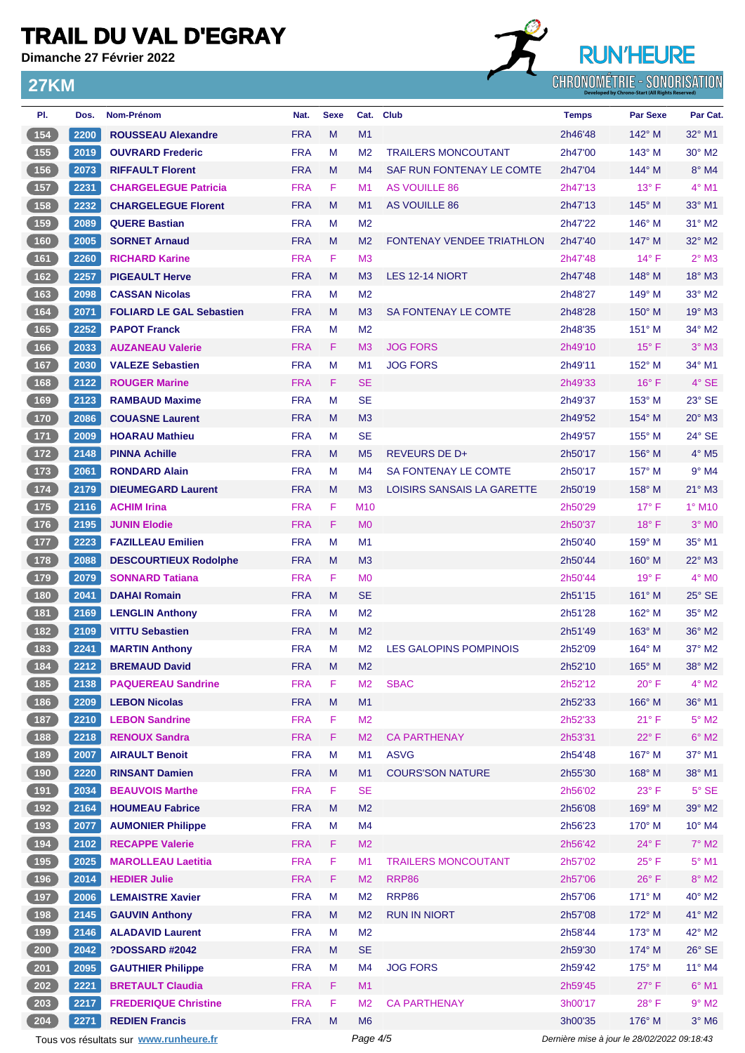**Dimanche 27 Février 2022**

**27KM**



| PI.                                                | Dos.          | <b>Nom-Prénom</b>                      | Nat.       | <b>Sexe</b> | Cat.           | Club                              | <b>Temps</b>                                | <b>Par Sexe</b> | Par Cat.                  |
|----------------------------------------------------|---------------|----------------------------------------|------------|-------------|----------------|-----------------------------------|---------------------------------------------|-----------------|---------------------------|
| (154)                                              | 2200          | <b>ROUSSEAU Alexandre</b>              | <b>FRA</b> | M           | M1             |                                   | 2h46'48                                     | $142^\circ$ M   | 32° M1                    |
| 155                                                | 2019          | <b>OUVRARD Frederic</b>                | <b>FRA</b> | м           | M <sub>2</sub> | <b>TRAILERS MONCOUTANT</b>        | 2h47'00                                     | $143^\circ$ M   | $30^\circ$ M <sub>2</sub> |
| (156)                                              | 2073          | <b>RIFFAULT Florent</b>                | <b>FRA</b> | M           | M4             | SAF RUN FONTENAY LE COMTE         | 2h47'04                                     | $144^\circ$ M   | $8^\circ$ M4              |
| 157                                                | 2231          | <b>CHARGELEGUE Patricia</b>            | <b>FRA</b> | F           | M1             | <b>AS VOUILLE 86</b>              | 2h47'13                                     | $13^{\circ}$ F  | 4° M1                     |
| (158)                                              | 2232          | <b>CHARGELEGUE Florent</b>             | <b>FRA</b> | M           | M1             | AS VOUILLE 86                     | 2h47'13                                     | $145^\circ$ M   | $33^\circ$ M1             |
| 159                                                | 2089          | <b>QUERE Bastian</b>                   | <b>FRA</b> | м           | M <sub>2</sub> |                                   | 2h47'22                                     | $146^\circ$ M   | $31^\circ$ M2             |
| $\sqrt{160}$                                       | 2005          | <b>SORNET Arnaud</b>                   | <b>FRA</b> | M           | M <sub>2</sub> | <b>FONTENAY VENDEE TRIATHLON</b>  | 2h47'40                                     | $147^\circ$ M   | $32^\circ$ M2             |
| (161)                                              | 2260          | <b>RICHARD Karine</b>                  | <b>FRA</b> | F           | M <sub>3</sub> |                                   | 2h47'48                                     | $14^{\circ}$ F  | $2°$ M3                   |
| (162)                                              | 2257          | <b>PIGEAULT Herve</b>                  | <b>FRA</b> | M           | M <sub>3</sub> | LES 12-14 NIORT                   | 2h47'48                                     | $148^\circ$ M   | 18° M3                    |
| (163)                                              | 2098          | <b>CASSAN Nicolas</b>                  | <b>FRA</b> | м           | M <sub>2</sub> |                                   | 2h48'27                                     | 149° M          | 33° M2                    |
| (164)                                              | 2071          | <b>FOLIARD LE GAL Sebastien</b>        | <b>FRA</b> | M           | M <sub>3</sub> | SA FONTENAY LE COMTE              | 2h48'28                                     | $150^\circ$ M   | $19^\circ$ M3             |
| 165                                                | 2252          | <b>PAPOT Franck</b>                    | <b>FRA</b> | M           | M <sub>2</sub> |                                   | 2h48'35                                     | $151^\circ$ M   | $34^\circ$ M2             |
| $\boxed{166}$                                      | 2033          | <b>AUZANEAU Valerie</b>                | <b>FRA</b> | F           | M <sub>3</sub> | <b>JOG FORS</b>                   | 2h49'10                                     | $15^{\circ}$ F  | $3°$ M3                   |
| 167                                                | 2030          | <b>VALEZE Sebastien</b>                | <b>FRA</b> | м           | M1             | <b>JOG FORS</b>                   | 2h49'11                                     | $152^\circ$ M   | 34° M1                    |
| (168)                                              | 2122          | <b>ROUGER Marine</b>                   | <b>FRA</b> | F           | <b>SE</b>      |                                   | 2h49'33                                     | $16^{\circ}$ F  | $4^\circ$ SE              |
| (169)                                              | 2123          | <b>RAMBAUD Maxime</b>                  | <b>FRA</b> | м           | <b>SE</b>      |                                   | 2h49'37                                     | $153^\circ$ M   | $23^\circ$ SE             |
| (170)                                              | 2086          | <b>COUASNE Laurent</b>                 | <b>FRA</b> | M           | M <sub>3</sub> |                                   | 2h49'52                                     | $154^{\circ}$ M | 20° M3                    |
| 171                                                | 2009          | <b>HOARAU Mathieu</b>                  | <b>FRA</b> | м           | <b>SE</b>      |                                   | 2h49'57                                     | $155^{\circ}$ M | 24° SE                    |
| 172                                                | 2148          | <b>PINNA Achille</b>                   | <b>FRA</b> | M           | M <sub>5</sub> | <b>REVEURS DE D+</b>              | 2h50'17                                     | $156^\circ$ M   | $4^\circ$ M <sub>5</sub>  |
| $\begin{array}{c} \boxed{173} \end{array}$         | 2061          | <b>RONDARD Alain</b>                   | <b>FRA</b> | М           | M4             | SA FONTENAY LE COMTE              | 2h50'17                                     | $157^\circ$ M   | $9°$ M4                   |
| (174)                                              | 2179          | <b>DIEUMEGARD Laurent</b>              | <b>FRA</b> | M           | M <sub>3</sub> | <b>LOISIRS SANSAIS LA GARETTE</b> | 2h50'19                                     | $158^\circ$ M   | $21^\circ$ M3             |
| $175$                                              | 2116          | <b>ACHIM Irina</b>                     | <b>FRA</b> | F           | M10            |                                   | 2h50'29                                     | $17^{\circ}$ F  | $1^\circ$ M <sub>10</sub> |
| (176)                                              | 2195          | <b>JUNIN Elodie</b>                    | <b>FRA</b> | F           | M <sub>0</sub> |                                   | 2h50'37                                     | 18° F           | $3°$ MO                   |
| 177                                                | 2223          | <b>FAZILLEAU Emilien</b>               | <b>FRA</b> | М           | M1             |                                   | 2h50'40                                     | $159^\circ$ M   | 35° M1                    |
| (178)                                              | 2088          | <b>DESCOURTIEUX Rodolphe</b>           | <b>FRA</b> | M           | M <sub>3</sub> |                                   | 2h50'44                                     | $160^\circ$ M   | $22^{\circ}$ M3           |
| $\sqrt{179}$                                       | 2079          | <b>SONNARD Tatiana</b>                 | <b>FRA</b> | F           | M <sub>0</sub> |                                   | 2h50'44                                     | $19^{\circ}$ F  | $4^\circ$ MO              |
| (180                                               | 2041          | <b>DAHAI Romain</b>                    | <b>FRA</b> | M           | <b>SE</b>      |                                   | 2h51'15                                     | $161^\circ$ M   | $25^\circ$ SE             |
| $181$                                              | 2169          | <b>LENGLIN Anthony</b>                 | <b>FRA</b> | М           | M <sub>2</sub> |                                   | 2h51'28                                     | 162° M          | 35° M2                    |
| (182)                                              | 2109          | <b>VITTU Sebastien</b>                 | <b>FRA</b> | M           | M <sub>2</sub> |                                   | 2h51'49                                     | $163^\circ$ M   | $36^\circ$ M2             |
| (183)                                              | 2241          | <b>MARTIN Anthony</b>                  | <b>FRA</b> | м           | M <sub>2</sub> | <b>LES GALOPINS POMPINOIS</b>     | 2h52'09                                     | $164^\circ$ M   | 37° M2                    |
| $\begin{array}{ c c c }\n\hline\n184\n\end{array}$ | $\sqrt{2212}$ | <b>BREMAUD David</b>                   | <b>FRA</b> | M           | M <sub>2</sub> |                                   | 2h52'10                                     | $165^\circ$ M   | 38° M2                    |
| $185$                                              | 2138          | <b>PAQUEREAU Sandrine</b>              | <b>FRA</b> | F           | M <sub>2</sub> | <b>SBAC</b>                       | 2h52'12                                     | $20^{\circ}$ F  | $4^\circ$ M2              |
| (186)                                              | 2209          | <b>LEBON Nicolas</b>                   | <b>FRA</b> | M           | M1             |                                   | 2h52'33                                     | 166° M          | 36° M1                    |
| $\begin{array}{c} \n \textbf{187} \\ \end{array}$  | 2210          | <b>LEBON Sandrine</b>                  | <b>FRA</b> | F           | M <sub>2</sub> |                                   | 2h52'33                                     | 21° F           | $5^\circ$ M2              |
| (188)                                              | 2218          | <b>RENOUX Sandra</b>                   | <b>FRA</b> | F.          | M <sub>2</sub> | <b>CA PARTHENAY</b>               | 2h53'31                                     | $22^{\circ}$ F  | $6^\circ$ M2              |
| 189                                                | 2007          | <b>AIRAULT Benoit</b>                  | <b>FRA</b> | М           | M <sub>1</sub> | <b>ASVG</b>                       | 2h54'48                                     | 167° M          | 37° M1                    |
| (190)                                              | 2220          | <b>RINSANT Damien</b>                  | <b>FRA</b> | M           | M1             | <b>COURS'SON NATURE</b>           | 2h55'30                                     | 168° M          | 38° M1                    |
| (191)                                              | 2034          | <b>BEAUVOIS Marthe</b>                 | <b>FRA</b> | F           | <b>SE</b>      |                                   | 2h56'02                                     | $23^{\circ}$ F  | $5^\circ$ SE              |
| (192)                                              | 2164          | <b>HOUMEAU Fabrice</b>                 | <b>FRA</b> | M           | M <sub>2</sub> |                                   | 2h56'08                                     | 169° M          | 39° M2                    |
| (193)                                              | 2077          | <b>AUMONIER Philippe</b>               | <b>FRA</b> | М           | M <sub>4</sub> |                                   | 2h56'23                                     | $170^\circ$ M   | 10° M4                    |
| (194)                                              | 2102          | <b>RECAPPE Valerie</b>                 | <b>FRA</b> | F.          | M <sub>2</sub> |                                   | 2h56'42                                     | $24^{\circ}$ F  | $7^\circ$ M2              |
| 195                                                | 2025          | <b>MAROLLEAU Laetitia</b>              | <b>FRA</b> | F           | M1             | <b>TRAILERS MONCOUTANT</b>        | 2h57'02                                     | $25^{\circ}$ F  | $5^{\circ}$ M1            |
| (196)                                              | 2014          | <b>HEDIER Julie</b>                    | <b>FRA</b> | F.          | M <sub>2</sub> | <b>RRP86</b>                      | 2h57'06                                     | $26^{\circ}$ F  | $8^\circ$ M2              |
| $\boxed{197}$                                      | 2006          | <b>LEMAISTRE Xavier</b>                | <b>FRA</b> | M           | M <sub>2</sub> | <b>RRP86</b>                      | 2h57'06                                     | $171^\circ$ M   | 40° M2                    |
| (198)                                              | 2145          | <b>GAUVIN Anthony</b>                  | <b>FRA</b> | M           | M <sub>2</sub> | <b>RUN IN NIORT</b>               | 2h57'08                                     | 172° M          | 41° M2                    |
| 199                                                | 2146          | <b>ALADAVID Laurent</b>                | <b>FRA</b> | М           | M <sub>2</sub> |                                   | 2h58'44                                     | 173° M          | 42° M2                    |
| $\overline{200}$                                   | 2042          | <b>?DOSSARD #2042</b>                  | <b>FRA</b> | M           | <b>SE</b>      |                                   | 2h59'30                                     | $174^\circ$ M   | $26^\circ$ SE             |
| $201$                                              | 2095          | <b>GAUTHIER Philippe</b>               | <b>FRA</b> | М           | M <sub>4</sub> | <b>JOG FORS</b>                   | 2h59'42                                     | 175° M          | 11° M4                    |
| 202                                                | 2221          | <b>BRETAULT Claudia</b>                | <b>FRA</b> | F.          | M1             |                                   | 2h59'45                                     | 27°F            | $6^{\circ}$ M1            |
| $203$                                              | 2217          | <b>FREDERIQUE Christine</b>            | <b>FRA</b> | F           | M <sub>2</sub> | <b>CA PARTHENAY</b>               | 3h00'17                                     | 28°F            | $9°$ M2                   |
| 204                                                | 2271          | <b>REDIEN Francis</b>                  | <b>FRA</b> | M           | M <sub>6</sub> |                                   | 3h00'35                                     | 176° M          | $3^\circ$ M6              |
|                                                    |               | Tous vos résultats sur www.runheure.fr |            |             | Page 4/5       |                                   | Dernière mise à jour le 28/02/2022 09:18:43 |                 |                           |